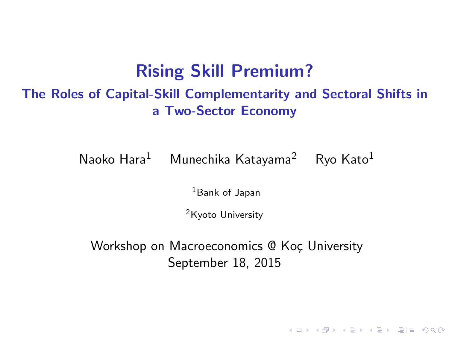#### Rising Skill Premium?

#### <span id="page-0-1"></span><span id="page-0-0"></span>The Roles of Capital-Skill Complementarity and Sectoral Shifts in a Two-Sector Economy

Naoko Hara $1$  Munechika Katayama $2$  Ryo Kato $1$ 

<sup>1</sup>Bank of Japan

<sup>2</sup>Kvoto University

Workshop on Macroeconomics @ Koç University September 18, 2015

K ロ ▶ K @ ▶ K 할 K K 할 K (할)의 할 수 있습니다.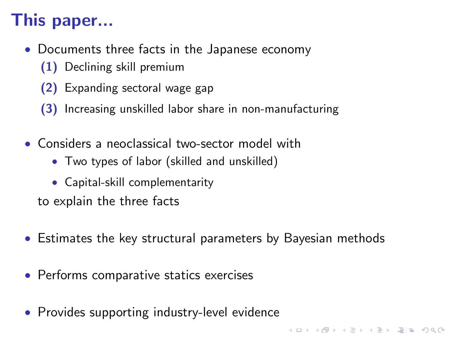# This paper...

- Documents three facts in the Japanese economy (1) Declining skill premium
	-
	- (2) Expanding sectoral wage gap
	- (3) Increasing unskilled labor share in non-manufacturing
- Considers a neoclassical two-sector model with
	- Two types of labor (skilled and unskilled)
	- Capital-skill complementarity

to explain the three facts

• Estimates the key structural parameters by Bayesian methods

KO K K (F K E K E K A E K A K K K K K K K K K

- Performs comparative statics exercises
- Provides supporting industry-level evidence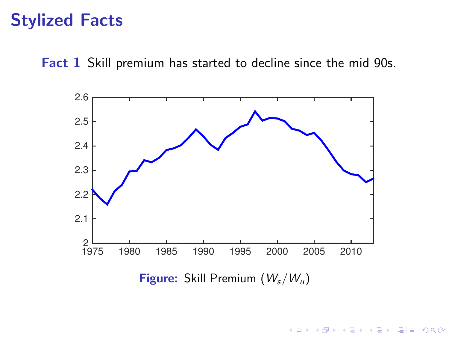## Stylized Facts

Fact 1 Skill premium has started to decline since the mid 90s.



Figure: Skill Premium  $(W_s/W_u)$ 

K ロ ▶ K @ ▶ K 할 X K 할 X [ 활]할 (?) Q @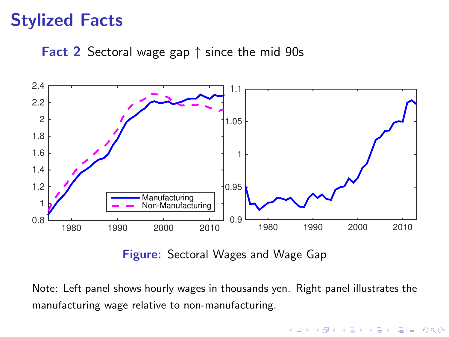## <span id="page-3-0"></span>Stylized Facts

Fact 2 Sectoral wage gap ↑ since the mid 90s



Note: Left panel shows hourly wages in thousands yen. Right panel illustrates the manufacturing wage relative to non-manufacturing.

KO K K (F K E K E K A E K A K K K K K K K K K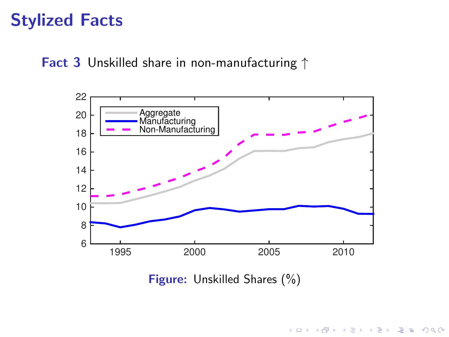## Stylized Facts

Fact 3 Unskilled share in non-manufacturing ↑



Figure: Unskilled Shares (%)

K ロ ▶ K @ ▶ K 할 X K 할 X [ 할 날 수 있다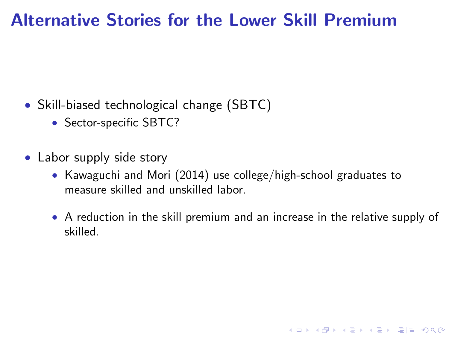## Alternative Stories for the Lower Skill Premium

- Skill-biased technological change (SBTC)
	- Sector-specific SBTC?
- Labor supply side story
	- Kawaguchi and Mori (2014) use college/high-school graduates to measure skilled and unskilled labor.
	- A reduction in the skill premium and an increase in the relative supply of skilled.

KOD KARD KED KED EN MAG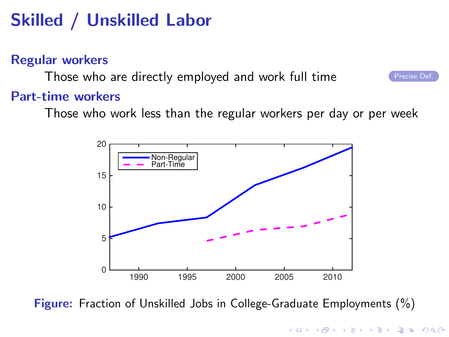# Skilled / Unskilled Labor

#### Regular workers

Those who are directly employed and work full time

#### Part-time workers

Those who work less than the regular workers per day or per week



Figure: Fraction of Unskilled Jobs in College-Graduate Employments (%)

KO K K (F K E K E K A E K A K K K K K K K K K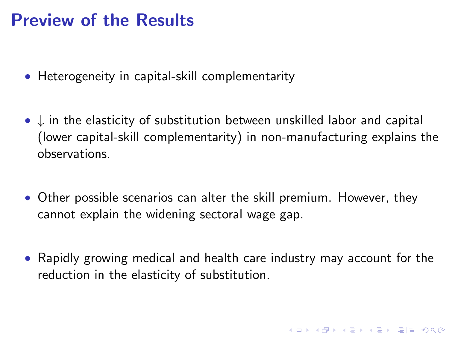## Preview of the Results

- Heterogeneity in capital-skill complementarity
- $\downarrow$  in the elasticity of substitution between unskilled labor and capital (lower capital-skill complementarity) in non-manufacturing explains the observations.
- Other possible scenarios can alter the skill premium. However, they cannot explain the widening sectoral wage gap.
- Rapidly growing medical and health care industry may account for the reduction in the elasticity of substitution.

**KOD KAD KED KED EN AQO**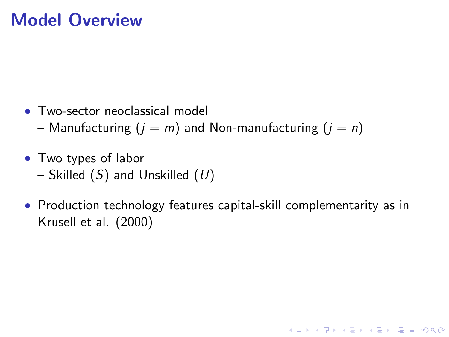## Model Overview

- Two-sector neoclassical model
	- Manufacturing  $(j = m)$  and Non-manufacturing  $(j = n)$
- Two types of labor
	- Skilled  $(S)$  and Unskilled  $(U)$
- Production technology features capital-skill complementarity as in Krusell et al. (2000)

KO K K (F K E K E K A E K A K K K K K K K K K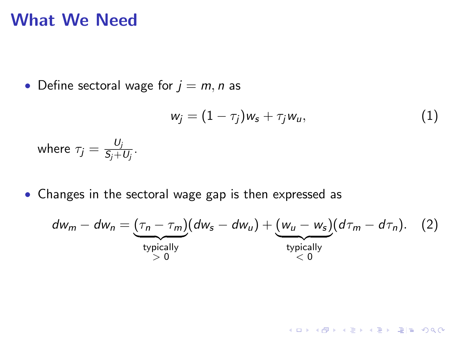#### What We Need

• Define sectoral wage for  $j = m, n$  as

$$
w_j = (1 - \tau_j)w_s + \tau_j w_u, \qquad (1)
$$
  
where  $\tau_j = \frac{U_j}{S_j + U_j}.$ 

• Changes in the sectoral wage gap is then expressed as

$$
dw_m - dw_n = \underbrace{(\tau_n - \tau_m)}_{\text{typically}}(dw_s - dw_u) + \underbrace{(w_u - w_s)}_{\text{typically}}(d\tau_m - d\tau_n). \quad (2)
$$

K ロ ▶ K @ ▶ K 할 X K 할 X [ 할 날 수 있다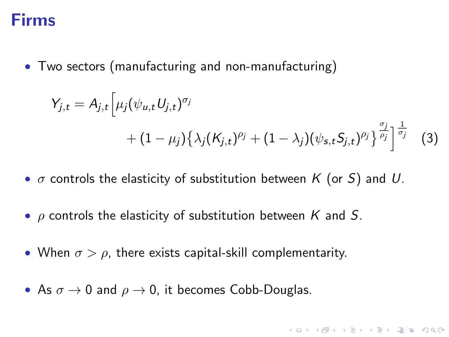### Firms

• Two sectors (manufacturing and non-manufacturing)

$$
Y_{j,t} = A_{j,t} \left[ \mu_j (\psi_{u,t} U_{j,t})^{\sigma_j} + (1 - \mu_j) \{ \lambda_j (K_{j,t})^{\rho_j} + (1 - \lambda_j) (\psi_{s,t} S_{j,t})^{\rho_j} \}^{\frac{\sigma_j}{\rho_j}} \right]_{\sigma_j}^{\frac{1}{\sigma_j}}
$$
(3)

**KOD KAD KED KED EN AQO** 

- $\sigma$  controls the elasticity of substitution between K (or S) and U.
- $\rho$  controls the elasticity of substitution between K and S.
- When  $\sigma > \rho$ , there exists capital-skill complementarity.
- As  $\sigma \to 0$  and  $\rho \to 0$ , it becomes Cobb-Douglas.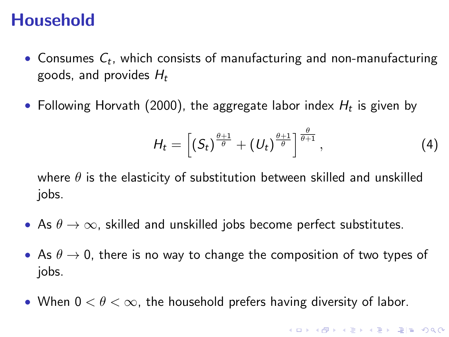## Household

- $\bullet$  Consumes  $\mathcal{C}_t$ , which consists of manufacturing and non-manufacturing goods, and provides  $H_t$
- $\bullet\,$  Following Horvath (2000), the aggregate labor index  $H_t$  is given by

$$
H_t = \left[ \left( \mathcal{S}_t \right)^{\frac{\theta+1}{\theta}} + \left( U_t \right)^{\frac{\theta+1}{\theta}} \right]^{\frac{\theta}{\theta+1}}, \tag{4}
$$

KO K K (F K E K E K A E K A K K K K K K K K K

where  $\theta$  is the elasticity of substitution between skilled and unskilled jobs.

- As  $\theta \to \infty$ , skilled and unskilled jobs become perfect substitutes.
- As  $\theta \rightarrow 0$ , there is no way to change the composition of two types of jobs.
- When  $0 < \theta < \infty$ , the household prefers having diversity of labor.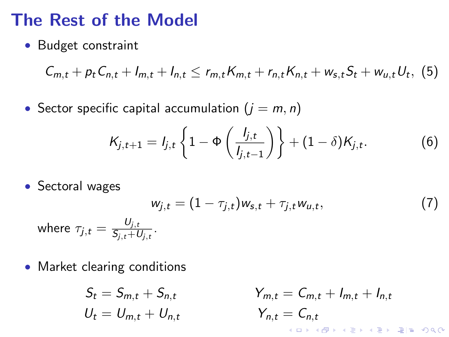## The Rest of the Model

• Budget constraint

$$
C_{m,t} + p_t C_{n,t} + I_{m,t} + I_{n,t} \leq r_{m,t} K_{m,t} + r_{n,t} K_{n,t} + w_{s,t} S_t + w_{u,t} U_t, (5)
$$

• Sector specific capital accumulation  $(j = m, n)$ 

$$
K_{j,t+1} = I_{j,t} \left\{ 1 - \Phi\left(\frac{I_{j,t}}{I_{j,t-1}}\right) \right\} + (1 - \delta) K_{j,t}.
$$
 (6)

• Sectoral wages

$$
w_{j,t} = (1 - \tau_{j,t})w_{s,t} + \tau_{j,t}w_{u,t}, \qquad (7)
$$

where  $\tau_{j,t} = \frac{U_{j,t}}{S_{i,t}+l}$  $\frac{O_{j,t}}{S_{j,t}+U_{j,t}}$ .

• Market clearing conditions

$$
S_t = S_{m,t} + S_{n,t}
$$
  
\n
$$
V_{m,t} = C_{m,t} + I_{m,t} + I_{n,t}
$$
  
\n
$$
V_{n,t} = C_{n,t}
$$
  
\n
$$
V_{n,t} = C_{n,t}
$$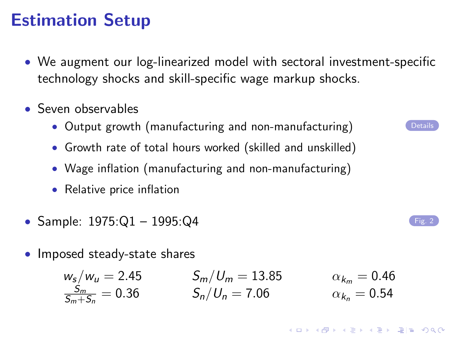## Estimation Setup

- We augment our log-linearized model with sectoral investment-specific technology shocks and skill-specific wage markup shocks.
- Seven observables
	- Output growth (manufacturing and non-manufacturing)
	- Growth rate of total hours worked (skilled and unskilled)
	- Wage inflation (manufacturing and non-manufacturing)
	- Relative price inflation
- Sample:  $1975:Q1 1995:Q4$
- Imposed steady-state shares

$$
w_s/w_u = 2.45
$$
  $S_m/U_m = 13.85$   $\alpha_{k_m} = 0.46$   
\n $\frac{S_m}{S_m+S_n} = 0.36$   $S_n/U_n = 7.06$   $\alpha_{k_n} = 0.54$ 

KO K K (F K E K E K A E K A K K K K K K K K K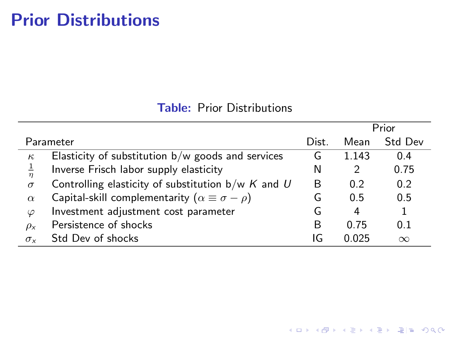## Prior Distributions

 $\overline{a}$ 

#### Table: Prior Distributions

|                                                                           |    | Prior         |          |  |
|---------------------------------------------------------------------------|----|---------------|----------|--|
| Parameter                                                                 |    | Mean          | Std Dev  |  |
| Elasticity of substitution $b/w$ goods and services<br>$\kappa$           | G  | 1.143         | 0.4      |  |
| $\frac{1}{\eta}$<br>Inverse Frisch labor supply elasticity                | N  | $\mathcal{P}$ | 0.75     |  |
| Controlling elasticity of substitution $b/w$ K and U<br>$\sigma$          | B  | 0.2           | 0.2      |  |
| Capital-skill complementarity $(\alpha \equiv \sigma - \rho)$<br>$\alpha$ | G  | 0.5           | 0.5      |  |
| Investment adjustment cost parameter<br>$\varphi$                         | G  | 4             |          |  |
| Persistence of shocks<br>$\rho_{\mathsf{x}}$                              | В  | 0.75          | 0.1      |  |
| Std Dev of shocks<br>$\sigma_{\rm v}$                                     | ١G | በ በንፍ         | $\infty$ |  |

**Kロトメ部トメミトメミト ミ性 のQで**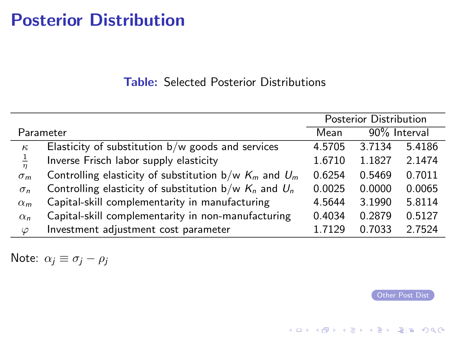## Posterior Distribution

#### Table: Selected Posterior Distributions

|                  |                                                            | Posterior Distribution |        |        |
|------------------|------------------------------------------------------------|------------------------|--------|--------|
| Parameter        | 90% Interval<br>Mean                                       |                        |        |        |
| $\kappa$         | Elasticity of substitution $b/w$ goods and services        | 4.5705                 | 3.7134 | 5.4186 |
| $\frac{1}{\eta}$ | Inverse Frisch labor supply elasticity                     | 1.6710                 | 1.1827 | 2.1474 |
| $\sigma_m$       | Controlling elasticity of substitution b/w $K_m$ and $U_m$ | 0.6254                 | 0.5469 | 0.7011 |
| $\sigma_{n}$     | Controlling elasticity of substitution b/w $K_n$ and $U_n$ | 0.0025                 | 0.0000 | 0.0065 |
| $\alpha_m$       | Capital-skill complementarity in manufacturing             | 4.5644                 | 3.1990 | 5.8114 |
| $\alpha_n$       | Capital-skill complementarity in non-manufacturing         | 0.4034                 | 0.2879 | 0.5127 |
| $\varphi$        | Investment adjustment cost parameter                       | 1.7129                 | 0.7033 | 2.7524 |

Note:  $\alpha_i \equiv \sigma_j - \rho_j$ 

[Other Post Dist](#page-39-0)

**イロトメタトメミトメミト ミ性 の女々**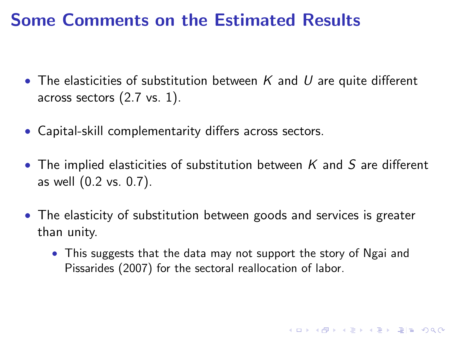## <span id="page-16-0"></span>Some Comments on the Estimated Results

- The elasticities of substitution between  $K$  and  $U$  are quite different across sectors (2.7 vs. 1).
- Capital-skill complementarity differs across sectors.
- The implied elasticities of substitution between  $K$  and  $S$  are different as well (0.2 vs. 0.7).
- The elasticity of substitution between goods and services is greater than unity.
	- This suggests that the data may not support the story of Ngai and Pissarides (2007) for the sectoral reallocation of labor.

K ロ ▶ K @ ▶ K 할 K K 할 K (할)의 할 수 있습니다.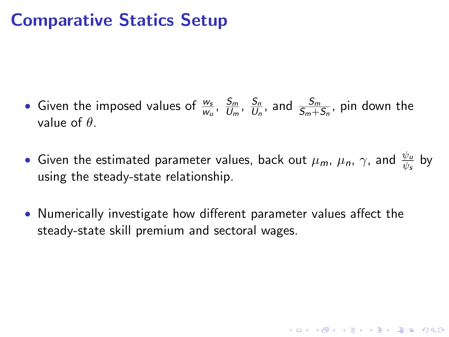## <span id="page-17-0"></span>Comparative Statics Setup

- Given the imposed values of  $\frac{w_s}{w_u}$ ,  $\frac{S_m}{U_m}$  $\frac{S_m}{U_m}$ ,  $\frac{S_n}{U_n}$  $\frac{S_n}{U_n}$ , and  $\frac{S_m}{S_m+S_n}$ , pin down the value of  $\theta$ .
- Given the estimated parameter values, back out  $\mu_m$ ,  $\mu_n$ ,  $\gamma$ , and  $\frac{\psi_u}{\psi_s}$  by using the steady-state relationship.

KO K K (F K E K E K A E K A K K K K K K K K K

• Numerically investigate how different parameter values affect the steady-state skill premium and sectoral wages.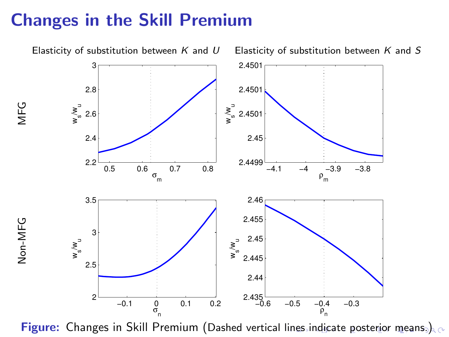## <span id="page-18-0"></span>Changes in the Skill Premium



**Figur[e](#page-32-0):** Changes in Skill Premium (Dashed vertical [line](#page-17-0)[s i](#page-19-0)[n](#page-17-0)[dic](#page-18-0)[at](#page-19-0)e [p](#page-17-0)[o](#page-23-0)[s](#page-24-0)[te](#page-16-0)[r](#page-24-0)[io](#page-23-0)r [m](#page-0-0)e[an](#page-44-0)s.).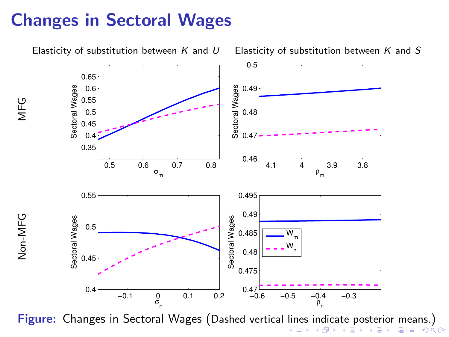## <span id="page-19-0"></span>Changes in Sectoral Wages



**Figur[e](#page-32-0):** Changes in Sectoral Wages (Dashed vertical [lin](#page-18-0)[es](#page-20-0) [in](#page-18-0)[di](#page-19-0)[ca](#page-20-0)[te](#page-16-0) [p](#page-23-0)[o](#page-24-0)[st](#page-16-0)e[ri](#page-23-0)[or](#page-24-0)[m](#page-31-0)e[an](#page-44-0)s.)<br>All the sector of the sector of the sector of the sector of the sector of the sector of the sector of the sector of the sector of the se 不信 一 一 三 4日) ∢母  $\,$  $\mathbf{p}$ 

Non-MFG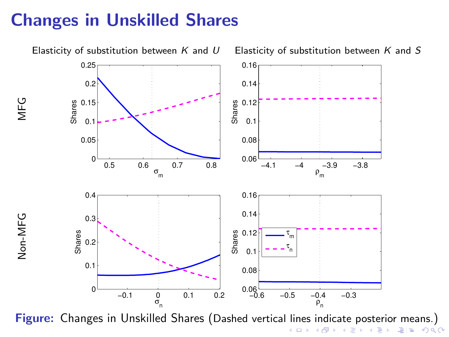## <span id="page-20-0"></span>Changes in Unskilled Shares



Figure: Changes in Unskilled Shares (Dashed vertical lines indicate posterior means.)4 ロ ▶ 4 伊 - K 블 K K 틀 K - 틀[팔] ⊙ Q ⊙  $\,$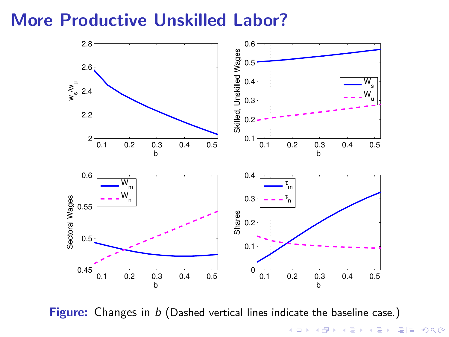## More Productive Unskilled Labor?



Figure: Changes in b (Dashed vertical lines indicate the baseline case.)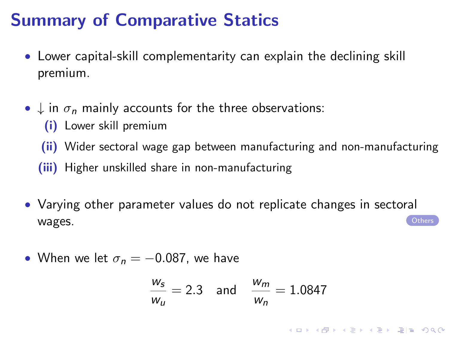## Summary of Comparative Statics

- Lower capital-skill complementarity can explain the declining skill premium.
- $\downarrow$  in  $\sigma_n$  mainly accounts for the three observations:
	- (i) Lower skill premium
	- (ii) Wider sectoral wage gap between manufacturing and non-manufacturing
	- (iii) Higher unskilled share in non-manufacturing
- Varying other parameter values do not replicate changes in sectoral Wages.
- When we let  $\sigma_n = -0.087$ , we have

$$
\frac{w_s}{w_u} = 2.3 \quad \text{and} \quad \frac{w_m}{w_n} = 1.0847
$$

KO K K (F K E K E K A E K A K K K K K K K K K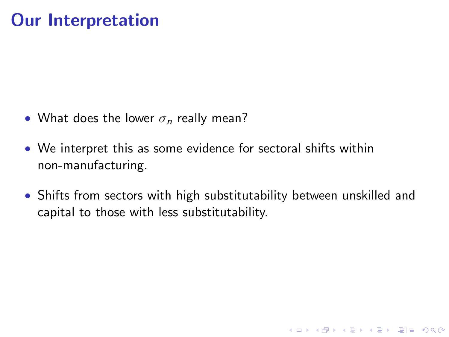## <span id="page-23-0"></span>Our Interpretation

- What does the lower  $\sigma_n$  really mean?
- We interpret this as some evidence for sectoral shifts within non-manufacturing.
- Shifts from sectors with high substitutability between unskilled and capital to those with less substitutability.

KOD KARD KED KED EN MAG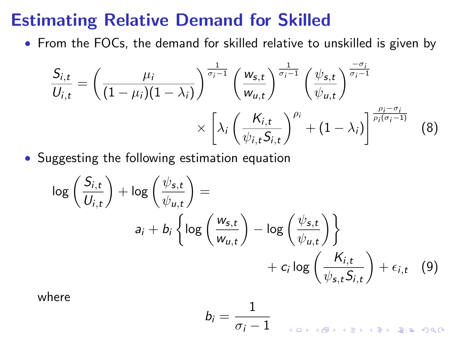#### <span id="page-24-0"></span>Estimating Relative Demand for Skilled

• From the FOCs, the demand for skilled relative to unskilled is given by

$$
\frac{S_{i,t}}{U_{i,t}} = \left(\frac{\mu_i}{(1-\mu_i)(1-\lambda_i)}\right)^{\frac{1}{\sigma_i-1}} \left(\frac{w_{s,t}}{w_{u,t}}\right)^{\frac{1}{\sigma_i-1}} \left(\frac{\psi_{s,t}}{\psi_{u,t}}\right)^{\frac{-\sigma_i}{\sigma_i-1}} \times \left[\lambda_i \left(\frac{K_{i,t}}{\psi_{i,t} S_{i,t}}\right)^{\rho_i} + (1-\lambda_i)\right]^{\frac{\rho_i-\sigma_i}{\rho_i(\sigma_i-1)}} \quad (8)
$$

• Suggesting the following estimation equation

$$
\log\left(\frac{S_{i,t}}{U_{i,t}}\right) + \log\left(\frac{\psi_{s,t}}{\psi_{u,t}}\right) =
$$
\n
$$
a_i + b_i \left\{ \log\left(\frac{w_{s,t}}{w_{u,t}}\right) - \log\left(\frac{\psi_{s,t}}{\psi_{u,t}}\right) \right\}
$$
\n
$$
+ c_i \log\left(\frac{K_{i,t}}{\psi_{s,t} S_{i,t}}\right) + \epsilon_{i,t} \quad (9)
$$

where

$$
b_i = \frac{1}{\sigma_i - 1}
$$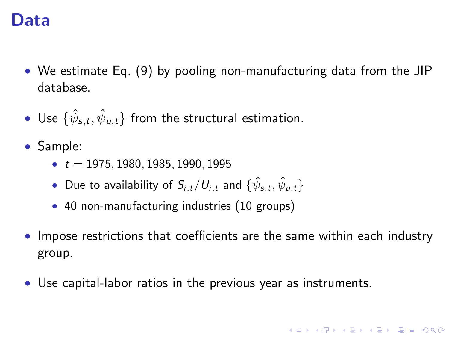### Data

- We estimate Eq. [\(9\)](#page-0-1) by pooling non-manufacturing data from the JIP database.
- Use  $\{\hat \psi_{\mathsf{s},t}, \hat \psi_{u,t}\}$  from the structural estimation.
- Sample:
	- $t = 1975, 1980, 1985, 1990, 1995$
	- Due to availability of  $S_{i,t}/U_{i,t}$  and  $\{\hat \psi_{s,t}, \hat \psi_{u,t}\}$
	- 40 non-manufacturing industries (10 groups)
- Impose restrictions that coefficients are the same within each industry group.

**KOD KAD KED KED EE VAN** 

• Use capital-labor ratios in the previous year as instruments.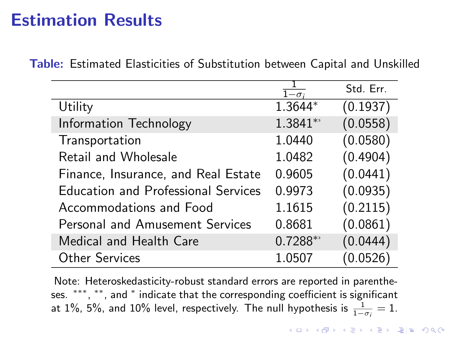## Estimation Results

Table: Estimated Elasticities of Substitution between Capital and Unskilled

|                                            | $1-\sigma_i$ | Std. Err. |
|--------------------------------------------|--------------|-----------|
| Utility                                    | 1.3644*      | (0.1937)  |
| Information Technology                     | $1.3841**$   | (0.0558)  |
| Transportation                             | 1.0440       | (0.0580)  |
| Retail and Wholesale                       | 1.0482       | (0.4904)  |
| Finance, Insurance, and Real Estate        | 0.9605       | (0.0441)  |
| <b>Education and Professional Services</b> | 0.9973       | (0.0935)  |
| Accommodations and Food                    | 1.1615       | (0.2115)  |
| <b>Personal and Amusement Services</b>     | 0.8681       | (0.0861)  |
| Medical and Health Care                    | $0.7288**$   | (0.0444)  |
| <b>Other Services</b>                      | 1.0507       | (0.0526)  |

Note: Heteroskedasticity-robust standard errors are reported in parentheses. \*\*\*, \*\*, and \* indicate that the corresponding coefficient is significant at 1%, 5%, and 10% level, respectively. The null hypothesis is  $\frac{1}{1-\sigma_i}=1$ .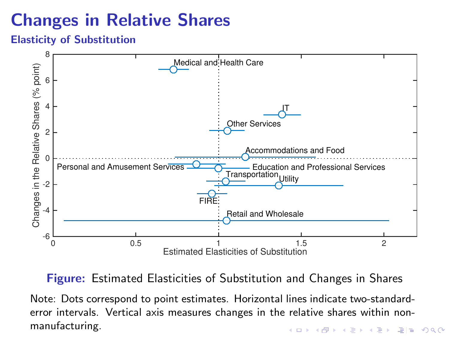# Changes in Relative Shares

#### Elasticity of Substitution



Figure: Estimated Elasticities of Substitution and Changes in Shares

Note: Dots correspond to point estimates. Horizontal lines indicate two-standarderror intervals. Vertical axis measures changes in the relative shares within nonmanufacturing.K ロ ▶ K 何 ▶ K 로 ▶ K 로 ▶ 그리도 19 Q @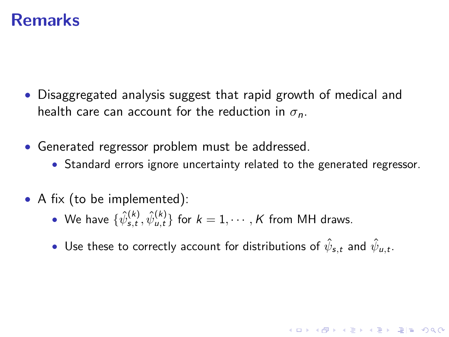### Remarks

- Disaggregated analysis suggest that rapid growth of medical and health care can account for the reduction in  $\sigma_n$ .
- Generated regressor problem must be addressed.
	- Standard errors ignore uncertainty related to the generated regressor.
- A fix (to be implemented):
	- We have  $\{\hat\psi^{(k)}_{s,t}, \hat\psi^{(k)}_{u,t}\}$  for  $k=1,\cdots,K$  from MH draws.
	- $\bullet\,$  Use these to correctly account for distributions of  $\hat\psi_{\mathbf{s},t}$  and  $\hat\psi_{u,t}.$

**KOD KAD KED KED EE VAN**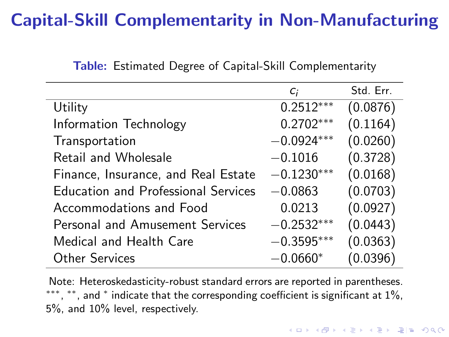# Capital-Skill Complementarity in Non-Manufacturing

|                                            | $C_i$        | Std. Err. |
|--------------------------------------------|--------------|-----------|
| Utility                                    | $0.2512***$  | (0.0876)  |
| Information Technology                     | $0.2702***$  | (0.1164)  |
| Transportation                             | $-0.0924***$ | (0.0260)  |
| Retail and Wholesale                       | $-0.1016$    | (0.3728)  |
| Finance, Insurance, and Real Estate        | $-0.1230***$ | (0.0168)  |
| <b>Education and Professional Services</b> | $-0.0863$    | (0.0703)  |
| Accommodations and Food                    | 0.0213       | (0.0927)  |
| <b>Personal and Amusement Services</b>     | $-0.2532***$ | (0.0443)  |
| Medical and Health Care                    | $-0.3595***$ | (0.0363)  |
| <b>Other Services</b>                      | $-0.0660*$   | (0.0396)  |

Table: Estimated Degree of Capital-Skill Complementarity

Note: Heteroskedasticity-robust standard errors are reported in parentheses. \*\*\*, \*\*, and \* indicate that the corresponding coefficient is significant at 1%, 5%, and 10% level, respectively.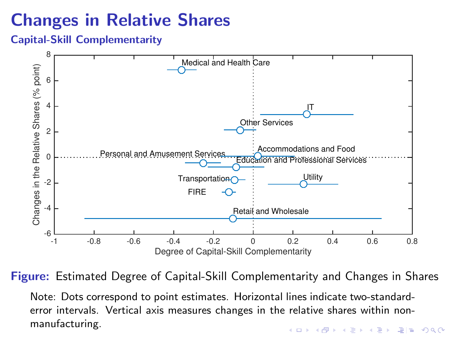# Changes in Relative Shares

Capital-Skill Complementarity



Figure: Estimated Degree of Capital-Skill Complementarity and Changes in Shares

Note: Dots correspond to point estimates. Horizontal lines indicate two-standarderror intervals. Vertical axis measures changes in the relative shares within nonmanufacturing.K ロ ▶ K 何 ▶ K 로 ▶ K 로 ▶ 그리도 19 Q @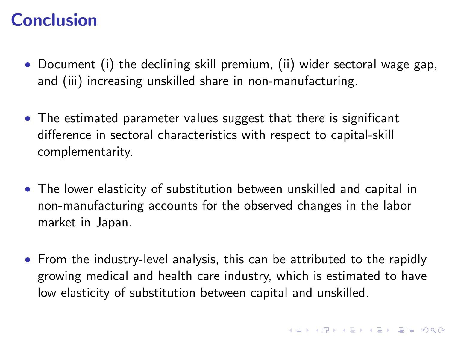## <span id="page-31-0"></span>Conclusion

- Document (i) the declining skill premium, (ii) wider sectoral wage gap, and (iii) increasing unskilled share in non-manufacturing.
- The estimated parameter values suggest that there is significant difference in sectoral characteristics with respect to capital-skill complementarity.
- The lower elasticity of substitution between unskilled and capital in non-manufacturing accounts for the observed changes in the labor market in Japan.
- From the industry-level analysis, this can be attributed to the rapidly growing medical and health care industry, which is estimated to have low elasticity of substitution between capital and unskilled.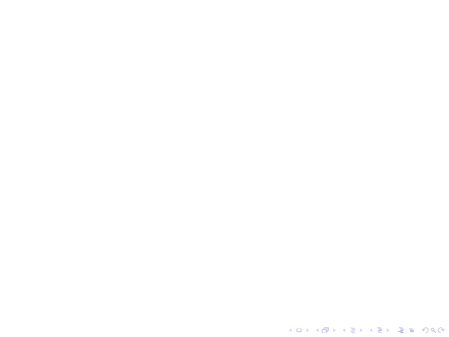K ロ K K @ K K 통 K K 통 X 통 및 B Y 9 Q @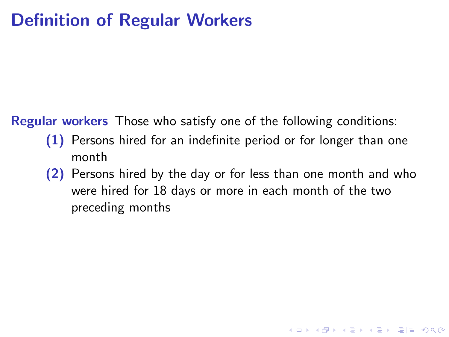## Definition of Regular Workers

<span id="page-33-0"></span>Regular workers Those who satisfy one of the following conditions:

- (1) Persons hired for an indefinite period or for longer than one month
- (2) Persons hired by the day or for less than one month and who were hired for 18 days or more in each month of the two preceding months

KO K K (F K E K E K A E K A K K K K K K K K K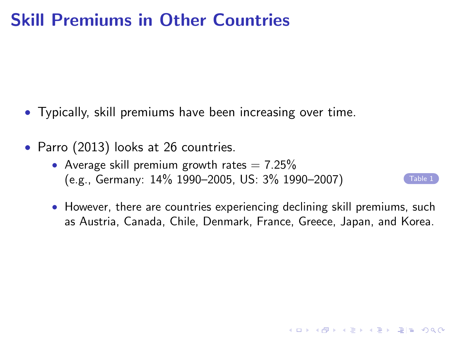## <span id="page-34-0"></span>Skill Premiums in Other Countries

- Typically, skill premiums have been increasing over time.
- Parro (2013) looks at 26 countries.
	- Average skill premium growth rates  $= 7.25\%$ (e.g., Germany: 14% 1990-2005, US: 3% 1990-2007)

KO K K (F K E K E K A E K A K K K K K K K K K

• However, there are countries experiencing declining skill premiums, such as Austria, Canada, Chile, Denmark, France, Greece, Japan, and Korea.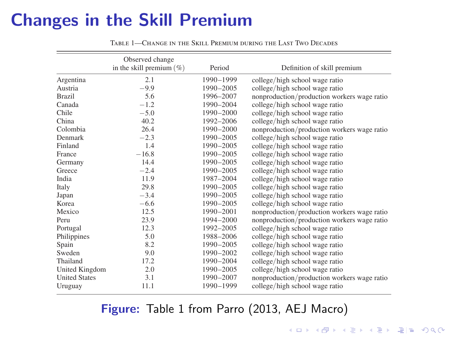# <span id="page-35-1"></span><span id="page-35-0"></span>*744 Changes in the Skill Premium*

|                      | Observed change             |           |                                             |
|----------------------|-----------------------------|-----------|---------------------------------------------|
|                      | in the skill premium $(\%)$ | Period    | Definition of skill premium                 |
| Argentina            | 2.1                         | 1990-1999 | college/high school wage ratio              |
| Austria              | $-9.9$                      | 1990-2005 | college/high school wage ratio              |
| <b>Brazil</b>        | 5.6                         | 1996-2007 | nonproduction/production workers wage ratio |
| Canada               | $-1.2$                      | 1990-2004 | college/high school wage ratio              |
| Chile                | $-5.0$                      | 1990-2000 | college/high school wage ratio              |
| China                | 40.2                        | 1992-2006 | college/high school wage ratio              |
| Colombia             | 26.4                        | 1990-2000 | nonproduction/production workers wage ratio |
| Denmark              | $-2.3$                      | 1990-2005 | college/high school wage ratio              |
| Finland              | 1.4                         | 1990-2005 | college/high school wage ratio              |
| France               | $-16.8$                     | 1990-2005 | college/high school wage ratio              |
| Germany              | 14.4                        | 1990-2005 | college/high school wage ratio              |
| Greece               | $-2.4$                      | 1990-2005 | college/high school wage ratio              |
| India                | 11.9                        | 1987-2004 | college/high school wage ratio              |
| Italy                | 29.8                        | 1990-2005 | college/high school wage ratio              |
| Japan                | $-3.4$                      | 1990-2005 | college/high school wage ratio              |
| Korea                | $-6.6$                      | 1990-2005 | college/high school wage ratio              |
| Mexico               | 12.5                        | 1990-2001 | nonproduction/production workers wage ratio |
| Peru                 | 23.9                        | 1994-2000 | nonproduction/production workers wage ratio |
| Portugal             | 12.3                        | 1992-2005 | college/high school wage ratio              |
| Philippines          | 5.0                         | 1988-2006 | college/high school wage ratio              |
| Spain                | 8.2                         | 1990-2005 | college/high school wage ratio              |
| Sweden               | 9.0                         | 1990-2002 | college/high school wage ratio              |
| Thailand             | 17.2                        | 1990-2004 | college/high school wage ratio              |
| United Kingdom       | 2.0                         | 1990-2005 | college/high school wage ratio              |
| <b>United States</b> | 3.1                         | 1990-2007 | nonproduction/production workers wage ratio |
| Uruguay              | 11.1                        | 1990-1999 | college/high school wage ratio              |

Table 1—Change in the Skill Premium during the Last Two Decades

#### Figure: Table 1 from Parro (2013, AEJ Macro)  $A$ sam (2009), Mexico: Verhoogen (2008), Peru: Mazumdar and  $\tilde{P}$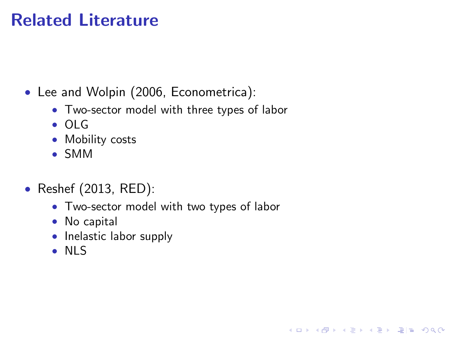## <span id="page-36-0"></span>Related Literature

- Lee and Wolpin (2006, Econometrica):
	- Two-sector model with three types of labor
	- OLG
	- Mobility costs
	- SMM
- Reshef (2013, RED):
	- Two-sector model with two types of labor

KOD KARD KED KED EN MAG

- No capital
- Inelastic labor supply
- NLS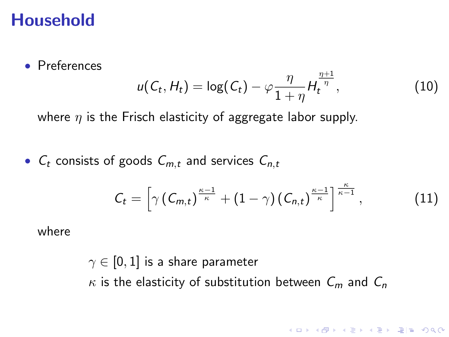### Household

• Preferences

$$
u(C_t, H_t) = \log(C_t) - \varphi \frac{\eta}{1 + \eta} H_t^{\frac{\eta + 1}{\eta}}, \qquad (10)
$$

where  $\eta$  is the Frisch elasticity of aggregate labor supply.

•  $C_t$  consists of goods  $C_{m,t}$  and services  $C_{n,t}$ 

$$
C_t = \left[ \gamma \left( C_{m,t} \right)^{\frac{\kappa-1}{\kappa}} + \left( 1 - \gamma \right) \left( C_{n,t} \right)^{\frac{\kappa-1}{\kappa}} \right]^{\frac{\kappa}{\kappa-1}}, \tag{11}
$$

KO K K (F K E K E K A E K A K K K K K K K K K

where

 $\gamma \in [0,1]$  is a share parameter  $\kappa$  is the elasticity of substitution between  $C_m$  and  $C_n$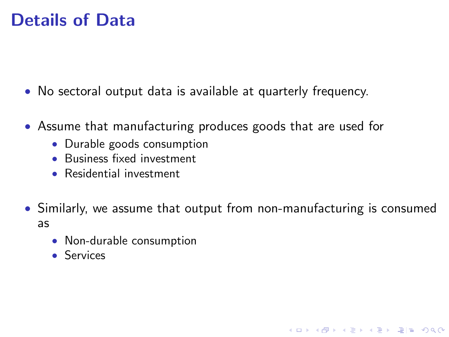## Details of Data

- <span id="page-38-0"></span>• No sectoral output data is available at quarterly frequency.
- Assume that manufacturing produces goods that are used for
	- Durable goods consumption
	- Business fixed investment
	- Residential investment
- Similarly, we assume that output from non-manufacturing is consumed as

KO K K (F K E K E K A E K A K K K K K K K K K

- Non-durable consumption
- Services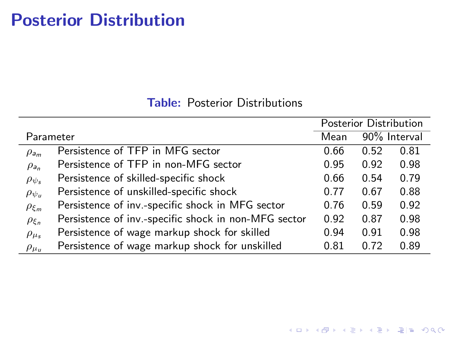## Posterior Distribution

#### Table: Posterior Distributions

<span id="page-39-0"></span>

|                     | Posterior Distribution                               |      |      |              |
|---------------------|------------------------------------------------------|------|------|--------------|
| Parameter           |                                                      | Mean |      | 90% Interval |
| $\rho_{a_m}$        | Persistence of TFP in MFG sector                     | 0.66 | 0.52 | 0.81         |
| $\rho_{a_n}$        | Persistence of TFP in non-MFG sector                 | 0.95 | 0.92 | 0.98         |
| $\rho_{\psi_{s}}$   | Persistence of skilled-specific shock                | 0.66 | 0.54 | 0.79         |
| $\rho_{\psi_{\mu}}$ | Persistence of unskilled-specific shock              | 0.77 | 0.67 | 0.88         |
| $\rho_{\xi_m}$      | Persistence of inv.-specific shock in MFG sector     | 0.76 | 0.59 | 0.92         |
| $\rho_{\xi_n}$      | Persistence of inv.-specific shock in non-MFG sector | 0.92 | 0.87 | 0.98         |
| $\rho_{\mu_s}$      | Persistence of wage markup shock for skilled         | 0.94 | 0.91 | 0.98         |
| $\rho_{\mu_n}$      | Persistence of wage markup shock for unskilled       | 0.81 | 0.72 | 0.89         |

**イロトメタトメミトメミト ミ性 の女々**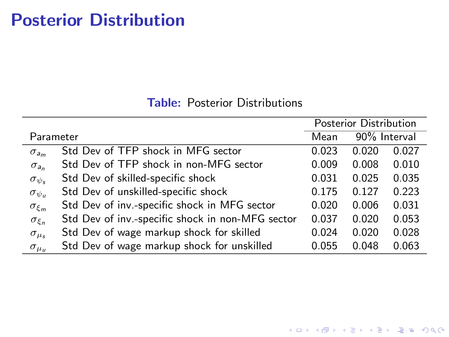## Posterior Distribution

#### Table: Posterior Distributions

|                         | Posterior Distribution                           |       |       |       |
|-------------------------|--------------------------------------------------|-------|-------|-------|
| Parameter               | 90% Interval<br>Mean                             |       |       |       |
| $\sigma_{a_m}$          | Std Dev of TFP shock in MFG sector               | 0.023 | 0.020 | 0.027 |
| $\sigma_{a}$            | Std Dev of TFP shock in non-MFG sector           | 0.009 | 0.008 | 0.010 |
| $\sigma_{\psi_{\rm s}}$ | Std Dev of skilled-specific shock                | 0.031 | 0.025 | 0.035 |
| $\sigma_{\psi_{\mu}}$   | Std Dev of unskilled-specific shock              | 0.175 | 0.127 | 0.223 |
| $\sigma_{\xi_m}$        | Std Dev of inv.-specific shock in MFG sector     | 0.020 | 0.006 | 0.031 |
| $\sigma_{\xi_n}$        | Std Dev of inv.-specific shock in non-MFG sector | 0.037 | 0.020 | 0.053 |
| $\sigma_{\mu_s}$        | Std Dev of wage markup shock for skilled         | 0.024 | 0.020 | 0.028 |
| $\sigma_{\mu_{\mu}}$    | Std Dev of wage markup shock for unskilled       | 0.055 | 0.048 | 0.063 |

**イロトメタトメミトメミト ミ性 の女々**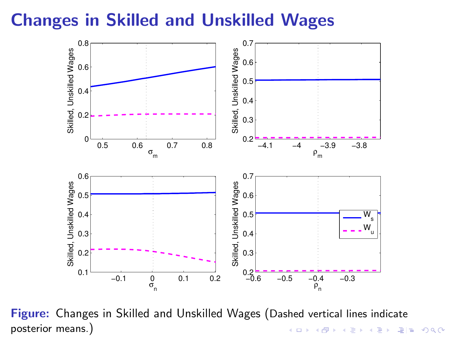## Changes in Skilled and Unskilled Wages



Figure: Changes in Skilled and Unskilled Wages (Dashed vertical lines indicate posterior means.)澄々 暑|≡ のへぐ  $\leftarrow$ Ξ  $\prec$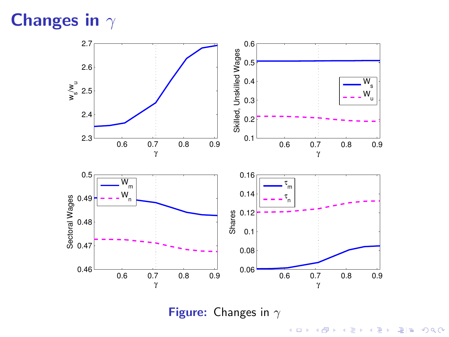# <span id="page-42-0"></span>Changes in  $\gamma$



Figure: Changes in  $\gamma$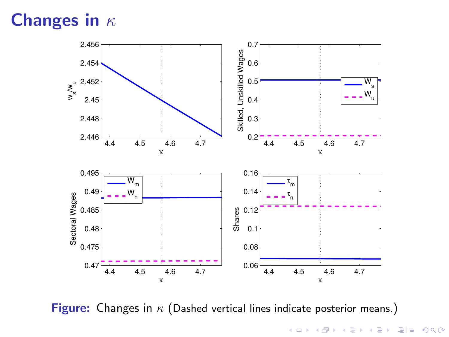## Changes in  $\kappa$



Figure: Changes in  $\kappa$  (Dashed vertical lines indicate posterior means.)

K ロ > K @ > K 할 > K 할 > [할 = K) Q @